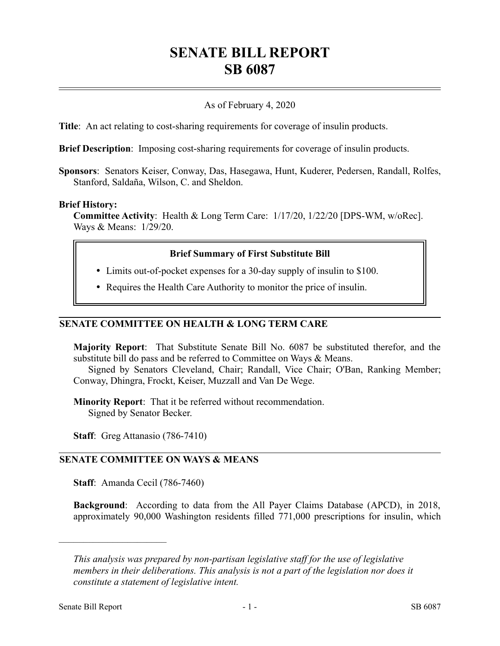# **SENATE BILL REPORT SB 6087**

# As of February 4, 2020

**Title**: An act relating to cost-sharing requirements for coverage of insulin products.

**Brief Description**: Imposing cost-sharing requirements for coverage of insulin products.

**Sponsors**: Senators Keiser, Conway, Das, Hasegawa, Hunt, Kuderer, Pedersen, Randall, Rolfes, Stanford, Saldaña, Wilson, C. and Sheldon.

### **Brief History:**

**Committee Activity**: Health & Long Term Care: 1/17/20, 1/22/20 [DPS-WM, w/oRec]. Ways & Means: 1/29/20.

# **Brief Summary of First Substitute Bill**

- Limits out-of-pocket expenses for a 30-day supply of insulin to \$100.
- Requires the Health Care Authority to monitor the price of insulin.

## **SENATE COMMITTEE ON HEALTH & LONG TERM CARE**

**Majority Report**: That Substitute Senate Bill No. 6087 be substituted therefor, and the substitute bill do pass and be referred to Committee on Ways & Means.

Signed by Senators Cleveland, Chair; Randall, Vice Chair; O'Ban, Ranking Member; Conway, Dhingra, Frockt, Keiser, Muzzall and Van De Wege.

**Minority Report**: That it be referred without recommendation. Signed by Senator Becker.

**Staff**: Greg Attanasio (786-7410)

### **SENATE COMMITTEE ON WAYS & MEANS**

**Staff**: Amanda Cecil (786-7460)

**Background**: According to data from the All Payer Claims Database (APCD), in 2018, approximately 90,000 Washington residents filled 771,000 prescriptions for insulin, which

––––––––––––––––––––––

*This analysis was prepared by non-partisan legislative staff for the use of legislative members in their deliberations. This analysis is not a part of the legislation nor does it constitute a statement of legislative intent.*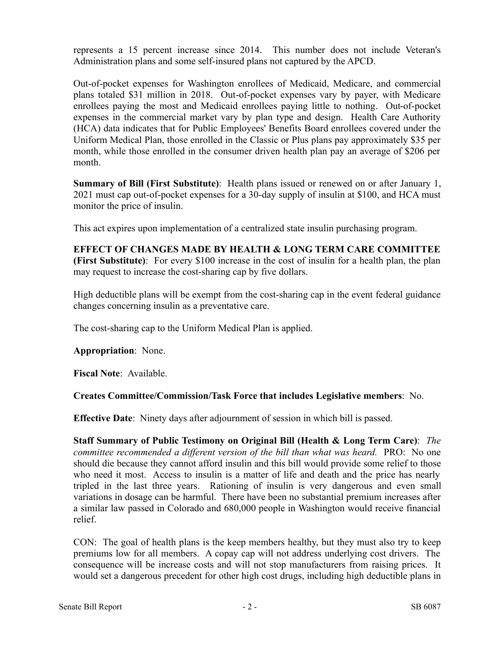represents a 15 percent increase since 2014. This number does not include Veteran's Administration plans and some self-insured plans not captured by the APCD.

Out-of-pocket expenses for Washington enrollees of Medicaid, Medicare, and commercial plans totaled \$31 million in 2018. Out-of-pocket expenses vary by payer, with Medicare enrollees paying the most and Medicaid enrollees paying little to nothing. Out-of-pocket expenses in the commercial market vary by plan type and design. Health Care Authority (HCA) data indicates that for Public Employees' Benefits Board enrollees covered under the Uniform Medical Plan, those enrolled in the Classic or Plus plans pay approximately \$35 per month, while those enrolled in the consumer driven health plan pay an average of \$206 per month.

**Summary of Bill (First Substitute)**: Health plans issued or renewed on or after January 1, 2021 must cap out-of-pocket expenses for a 30-day supply of insulin at \$100, and HCA must monitor the price of insulin.

This act expires upon implementation of a centralized state insulin purchasing program.

**EFFECT OF CHANGES MADE BY HEALTH & LONG TERM CARE COMMITTEE (First Substitute)**: For every \$100 increase in the cost of insulin for a health plan, the plan may request to increase the cost-sharing cap by five dollars.

High deductible plans will be exempt from the cost-sharing cap in the event federal guidance changes concerning insulin as a preventative care.

The cost-sharing cap to the Uniform Medical Plan is applied.

**Appropriation**: None.

**Fiscal Note**: Available.

# **Creates Committee/Commission/Task Force that includes Legislative members**: No.

**Effective Date**: Ninety days after adjournment of session in which bill is passed.

**Staff Summary of Public Testimony on Original Bill (Health & Long Term Care)**: *The committee recommended a different version of the bill than what was heard.* PRO: No one should die because they cannot afford insulin and this bill would provide some relief to those who need it most. Access to insulin is a matter of life and death and the price has nearly tripled in the last three years. Rationing of insulin is very dangerous and even small variations in dosage can be harmful. There have been no substantial premium increases after a similar law passed in Colorado and 680,000 people in Washington would receive financial relief.

CON: The goal of health plans is the keep members healthy, but they must also try to keep premiums low for all members. A copay cap will not address underlying cost drivers. The consequence will be increase costs and will not stop manufacturers from raising prices. It would set a dangerous precedent for other high cost drugs, including high deductible plans in